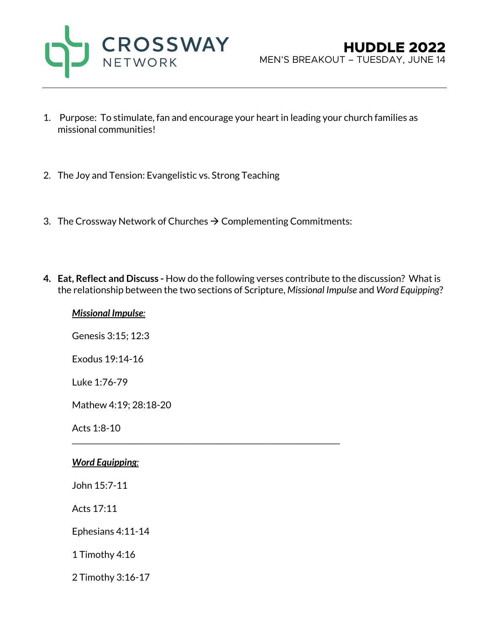

- 1. Purpose: To stimulate, fan and encourage your heart in leading your church families as missional communities!
- 2. The Joy and Tension: Evangelistic vs. Strong Teaching
- 3. The Crossway Network of Churches  $\rightarrow$  Complementing Commitments:

\_\_\_\_\_\_\_\_\_\_\_\_\_\_\_\_\_\_\_\_\_\_\_\_\_\_\_\_\_\_\_\_\_\_\_\_\_\_\_\_\_\_\_\_\_\_\_\_\_\_\_\_\_\_\_\_\_\_\_\_\_\_\_\_\_\_\_\_\_\_\_

**4. Eat, Reflect and Discuss -** How do the following verses contribute to the discussion? What is the relationship between the two sections of Scripture, *Missional Impulse* and *Word Equipping*?

## *Missional Impulse:*

Genesis 3:15; 12:3

Exodus 19:14-16

Luke 1:76-79

Mathew 4:19; 28:18-20

Acts 1:8-10

## *Word Equipping:*

John 15:7-11

Acts 17:11

Ephesians 4:11-14

1 Timothy 4:16

2 Timothy 3:16-17